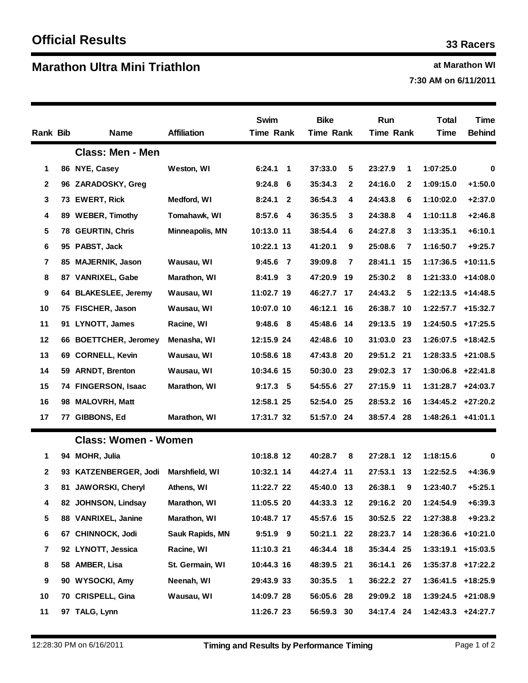## **Ma at Marathon WI rathon Ultra Mini Triathlon**

**7:30 AM on 6/11/2011**

| <b>Rank Bib</b>         |     | <b>Name</b>                 | <b>Affiliation</b>  | Swim<br>Time Rank     | <b>Bike</b><br><b>Time Rank</b> |              | Run<br><b>Time Rank</b> |              | <b>Total</b><br>Time   | Time<br><b>Behind</b>  |
|-------------------------|-----|-----------------------------|---------------------|-----------------------|---------------------------------|--------------|-------------------------|--------------|------------------------|------------------------|
|                         |     | <b>Class: Men - Men</b>     |                     |                       |                                 |              |                         |              |                        |                        |
| 1                       |     | 86 NYE, Casey               | Weston, WI          | 6:24.1<br>$\mathbf 1$ | 37:33.0                         | 5            | 23:27.9                 | 1            | 1:07:25.0              | 0                      |
| $\mathbf{2}$            |     | 96 ZARADOSKY, Greg          |                     | 9:24.8<br>6           | 35:34.3                         | $\mathbf{2}$ | 24:16.0                 | $\mathbf{2}$ | 1:09:15.0              | $+1:50.0$              |
| 3                       | 73  | <b>EWERT, Rick</b>          | Medford, WI         | 8:24.1<br>2           | 36:54.3                         | 4            | 24:43.8                 | 6            | 1:10:02.0              | $+2:37.0$              |
| 4                       | 89  | <b>WEBER, Timothy</b>       | Tomahawk, WI        | 8:57.6 4              | 36:35.5                         | 3            | 24:38.8                 | 4            | 1:10:11.8              | $+2:46.8$              |
| 5                       | 78. | <b>GEURTIN, Chris</b>       | Minneapolis, MN     | 10:13.0 11            | 38:54.4                         | 6            | 24:27.8                 | 3            | 1:13:35.1              | $+6:10.1$              |
| 6                       | 95  | PABST, Jack                 |                     | 10:22.1 13            | 41:20.1                         | 9            | 25:08.6                 | 7            | 1:16:50.7              | $+9:25.7$              |
| 7                       | 85  | <b>MAJERNIK, Jason</b>      | Wausau, WI          | 9:45.6 7              | 39:09.8                         | 7            | 28:41.1                 | 15           | 1:17:36.5              | $+10:11.5$             |
| 8                       |     | 87 VANRIXEL, Gabe           | <b>Marathon, WI</b> | $8:41.9$ 3            | 47:20.9                         | 19           | 25:30.2                 | 8            | 1:21:33.0 +14:08.0     |                        |
| 9                       |     | 64 BLAKESLEE, Jeremy        | Wausau, WI          | 11:02.7 19            | 46:27.7                         | 17           | 24:43.2                 | 5            | 1:22:13.5              | $+14:48.5$             |
| 10                      |     | 75 FISCHER, Jason           | Wausau, WI          | 10:07.0 10            | 46:12.1                         | 16           | 26:38.7                 | - 10         | $1:22:57.7$ +15:32.7   |                        |
| 11                      | 91  | LYNOTT, James               | Racine, WI          | 9:48.6 8              | 45:48.6                         | 14           | 29:13.5                 | - 19         | 1:24:50.5              | $+17:25.5$             |
| 12                      |     | 66 BOETTCHER, Jeromey       | Menasha, WI         | 12:15.9 24            | 42:48.6                         | 10           | 31:03.0                 | -23          | 1:26:07.5              | +18:42.5               |
| 13                      |     | 69 CORNELL, Kevin           | Wausau, WI          | 10:58.6 18            | 47:43.8                         | 20           | 29:51.2 21              |              | 1:28:33.5              | +21:08.5               |
| 14                      |     | 59 ARNDT, Brenton           | Wausau, WI          | 10:34.6 15            | 50:30.0                         | 23           | 29:02.3                 | - 17         | $1:30:06.8$ +22:41.8   |                        |
| 15                      |     | 74 FINGERSON, Isaac         | <b>Marathon, WI</b> | $9:17.3$ 5            | 54:55.6                         | 27           | 27:15.9                 | - 11         | $1:31:28.7$ +24:03.7   |                        |
| 16                      | 98  | <b>MALOVRH, Matt</b>        |                     | 12:58.1 25            | 52:54.0                         | 25           | 28:53.2 16              |              | $1:34:45.2$ $+27:20.2$ |                        |
| 17                      | 77  | GIBBONS, Ed                 | Marathon, WI        | 17:31.7 32            | 51:57.0                         | 24           | 38:57.4                 | -28          | $1:48:26.1$ +41:01.1   |                        |
|                         |     | <b>Class: Women - Women</b> |                     |                       |                                 |              |                         |              |                        |                        |
| 1                       |     | 94 MOHR, Julia              |                     | 10:18.8 12            | 40:28.7                         | 8            | 27:28.1                 | $-12$        | 1:18:15.6              | 0                      |
| 2                       |     | 93 KATZENBERGER, Jodi       | Marshfield, WI      | 10:32.1 14            | 44:27.4                         | -11          | 27:53.1                 | 13           | 1:22:52.5              | $+4:36.9$              |
| 3                       | 81  | <b>JAWORSKI, Cheryl</b>     | Athens, WI          | 11:22.7 22            | 45:40.0 13                      |              | 26:38.1                 | 9            | 1:23:40.7              | $+5:25.1$              |
| 4                       |     | 82 JOHNSON, Lindsay         | Marathon, WI        | 11:05.5 20            | 44:33.3 12                      |              | 29:16.2 20              |              | 1:24:54.9              | $+6:39.3$              |
| 5                       |     | 88 VANRIXEL, Janine         | Marathon, WI        | 10:48.7 17            | 45:57.6 15                      |              | 30:52.5 22              |              | 1:27:38.8              | $+9:23.2$              |
| 6                       |     | 67 CHINNOCK, Jodi           | Sauk Rapids, MN     | 9:51.9 9              | 50:21.1 22                      |              | 28:23.7 14              |              | 1:28:36.6              | $+10:21.0$             |
| $\overline{\mathbf{7}}$ |     | 92 LYNOTT, Jessica          | Racine, WI          | 11:10.3 21            | 46:34.4 18                      |              | 35:34.4 25              |              | 1:33:19.1              | $+15:03.5$             |
| 8                       |     | 58 AMBER, Lisa              | St. Germain, WI     | 10:44.3 16            | 48:39.5 21                      |              | 36:14.1 26              |              | $1:35:37.8$ +17:22.2   |                        |
| 9                       |     | 90 WYSOCKI, Amy             | Neenah, WI          | 29:43.9 33            | 30:35.5                         | 1            | 36:22.2 27              |              | $1:36:41.5$ +18:25.9   |                        |
| 10                      |     | 70 CRISPELL, Gina           | Wausau, WI          | 14:09.7 28            | 56:05.6 28                      |              | 29:09.2 18              |              | $1:39:24.5$ +21:08.9   |                        |
| 11                      |     | 97 TALG, Lynn               |                     | 11:26.7 23            | 56:59.3 30                      |              | 34:17.4 24              |              |                        | $1:42:43.3$ $+24:27.7$ |